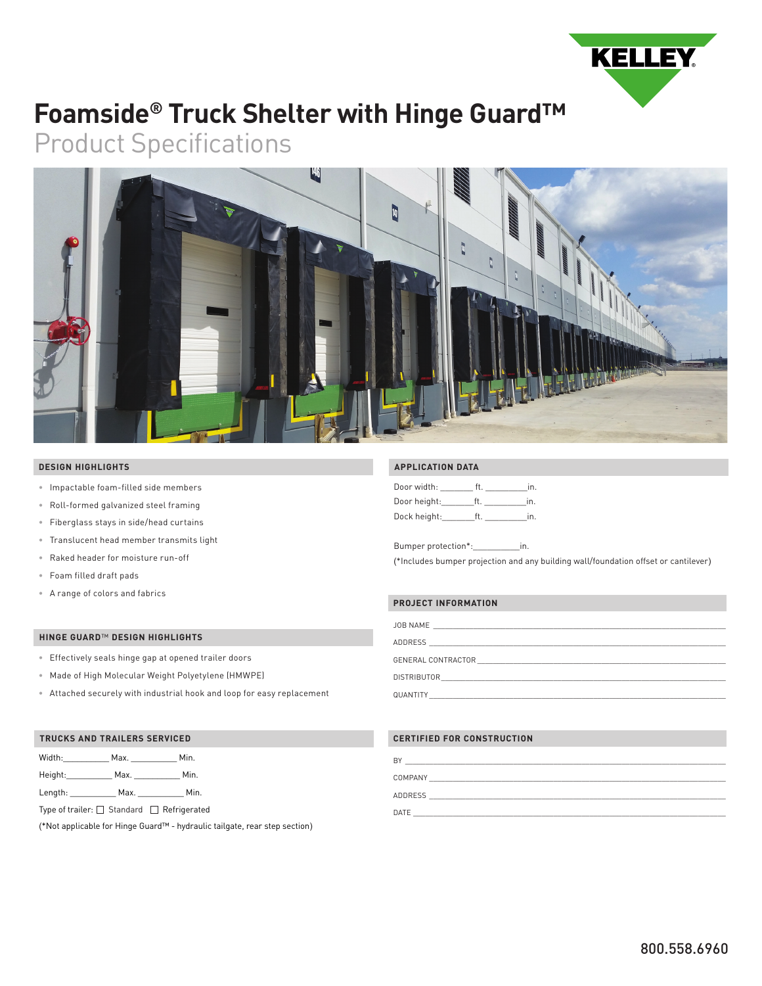

# **Foamside® Truck Shelter with Hinge Guard™**

Product Specifications



### **DESIGN HIGHLIGHTS**

- Impactable foam-filled side members
- Roll-formed galvanized steel framing
- Fiberglass stays in side/head curtains
- Translucent head member transmits light
- Raked header for moisture run-off
- Foam filled draft pads
- A range of colors and fabrics

#### **HINGE GUARD**™ **DESIGN HIGHLIGHTS**

- Effectively seals hinge gap at opened trailer doors
- Made of High Molecular Weight Polyetylene (HMWPE)
- Attached securely with industrial hook and loop for easy replacement

#### **TRUCKS AND TRAILERS SERVICED**

| Width:  | Max. | Min. |
|---------|------|------|
| Height: | Max. | Min. |

Length: \_\_\_\_\_\_\_\_\_\_\_\_\_ Max. \_\_\_\_\_\_\_\_\_\_\_\_\_ Min.

Type of trailer:  $\Box$  Standard  $\Box$  Refrigerated

(\*Not applicable for Hinge Guard™ - hydraulic tailgate, rear step section)

## **APPLICATION DATA**

| Door width:  | ft | In.            |
|--------------|----|----------------|
| Door height: | Ħ  | $\overline{m}$ |
| Dock height: | ft | in.            |

Bumper protection\*:\_\_\_\_\_\_\_\_\_\_in.

(\*Includes bumper projection and any building wall/foundation offset or cantilever)

## **PROJECT INFORMATION**

| <b>JOB NAME</b><br>______ |  |  |  |
|---------------------------|--|--|--|
| .                         |  |  |  |

ADDRESS \_\_\_\_\_\_\_\_\_\_\_\_\_\_\_\_\_\_\_\_\_\_\_\_\_\_\_\_\_\_\_\_\_\_\_\_\_\_\_\_\_\_\_\_\_\_\_\_\_\_\_\_\_\_\_\_\_\_\_\_\_\_\_\_\_\_\_\_\_\_\_\_\_\_

GENERAL CONTRACTOR

DISTRIBUTOR QUANTITY \_\_\_\_\_\_\_\_\_\_\_\_\_\_\_\_\_\_\_\_\_\_\_\_\_\_\_\_\_\_\_\_\_\_\_\_\_\_\_\_\_\_\_\_\_\_\_\_\_\_\_\_\_\_\_\_\_\_\_\_\_\_\_\_\_\_\_\_\_\_\_\_\_\_

## **CERTIFIED FOR CONSTRUCTION**

| BY      |  |  |  |
|---------|--|--|--|
| COMPANY |  |  |  |
| ADDRESS |  |  |  |
| DATE    |  |  |  |